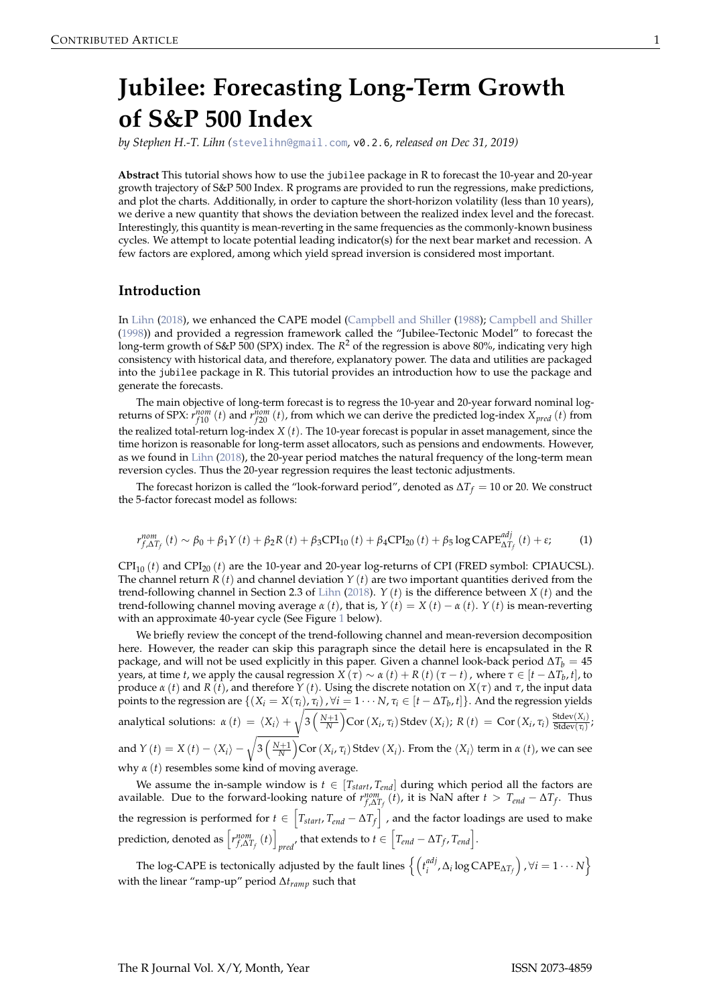# <span id="page-0-1"></span><span id="page-0-0"></span>**Jubilee: Forecasting Long-Term Growth of S&P 500 Index**

*by Stephen H.-T. Lihn (*[stevelihn@gmail.com](mailto:stevelihn@gmail.com)*,* v0.2.6*, released on Dec 31, 2019)*

**Abstract** This tutorial shows how to use the jubilee package in R to forecast the 10-year and 20-year growth trajectory of S&P 500 Index. R programs are provided to run the regressions, make predictions, and plot the charts. Additionally, in order to capture the short-horizon volatility (less than 10 years), we derive a new quantity that shows the deviation between the realized index level and the forecast. Interestingly, this quantity is mean-reverting in the same frequencies as the commonly-known business cycles. We attempt to locate potential leading indicator(s) for the next bear market and recession. A few factors are explored, among which yield spread inversion is considered most important.

### **Introduction**

In [Lihn](#page-19-0) [\(2018\)](#page-19-0), we enhanced the CAPE model [\(Campbell and Shiller](#page-19-1) [\(1988\)](#page-19-1); [Campbell and Shiller](#page-19-2) [\(1998\)](#page-19-2)) and provided a regression framework called the "Jubilee-Tectonic Model" to forecast the long-term growth of S&P 500 (SPX) index. The *R* <sup>2</sup> of the regression is above 80%, indicating very high consistency with historical data, and therefore, explanatory power. The data and utilities are packaged into the jubilee package in R. This tutorial provides an introduction how to use the package and generate the forecasts.

The main objective of long-term forecast is to regress the 10-year and 20-year forward nominal logreturns of SPX:  $r_{f10}^{nom}(t)$  and  $r_{f20}^{nom}(t)$ , from which we can derive the predicted log-index  $X_{pred}(t)$  from the realized total-return log-index *X* (*t*). The 10-year forecast is popular in asset management, since the time horizon is reasonable for long-term asset allocators, such as pensions and endowments. However, as we found in [Lihn](#page-19-0) [\(2018\)](#page-19-0), the 20-year period matches the natural frequency of the long-term mean reversion cycles. Thus the 20-year regression requires the least tectonic adjustments.

The forecast horizon is called the "look-forward period", denoted as ∆*T<sup>f</sup>* = 10 or 20. We construct the 5-factor forecast model as follows:

$$
r_{f,\Delta T_f}^{nom}(t) \sim \beta_0 + \beta_1 Y(t) + \beta_2 R(t) + \beta_3 CPI_{10}(t) + \beta_4 CPI_{20}(t) + \beta_5 \log CAPE_{\Delta T_f}^{adj}(t) + \varepsilon;
$$
 (1)

 $\text{CPI}_{10}(t)$  and  $\text{CPI}_{20}(t)$  are the 10-year and 20-year log-returns of CPI (FRED symbol: CPIAUCSL). The channel return  $R(t)$  and channel deviation  $Y(t)$  are two important quantities derived from the trend-following channel in Section 2.3 of [Lihn](#page-19-0) [\(2018\)](#page-19-0). *Y* (*t*) is the difference between *X* (*t*) and the trend-following channel moving average *α* (*t*), that is, *Y* (*t*) = *X* (*t*) − *α* (*t*). *Y* (*t*) is mean-reverting with an approximate 40-year cycle (See Figure [1](#page-3-0) below).

We briefly review the concept of the trend-following channel and mean-reversion decomposition here. However, the reader can skip this paragraph since the detail here is encapsulated in the R package, and will not be used explicitly in this paper. Given a channel look-back period  $\Delta T_b = 45$ years, at time *t*, we apply the causal regression *X* (*τ*) ∼ *α* (*t*) + *R* (*t*) (*τ* − *t*), where *τ* ∈ [*t* − ∆*T*<sub>*b*</sub>, *t*], to produce *α* (*t*) and *R* (*t*), and therefore *Y* (*t*). Using the discrete notation on *X*(*τ*) and *τ*, the input data points to the regression are  $\{(X_i=X(\tau_i),\tau_i)$  ,  $\forall i=1\cdots N$  ,  $\tau_i\in[t-\Delta T_b,t]\}$ . And the regression yields analytical solutions:  $\alpha(t) = \langle X_i \rangle + \sqrt{\frac{\lambda^2}{2\pi}}$  $\int_{0}^{N+1} \int_{0}^{N+1}$  Cor  $(X_i, \tau_i)$  Stdev  $(X_i)$ ;  $R(t) = \text{Cor}(X_i, \tau_i) \frac{\text{Stdev}(X_i)}{\text{Stdev}(\tau_i)}$  $\frac{\text{stdev}(\lambda_i)}{\text{Stdev}(\tau_i)}$ and *Y* (*t*) = *X* (*t*) –  $\langle X_i \rangle - \sqrt{n}$  $\int_{0}^{N+1} \left( \frac{N+1}{N} \right)$ Cor  $(X_i, \tau_i)$  Stdev  $(X_i)$ . From the  $\langle X_i \rangle$  term in *α* (*t*), we can see why *α* (*t*) resembles some kind of moving average.

We assume the in-sample window is  $t \in [T_{start}, T_{end}]$  during which period all the factors are available. Due to the forward-looking nature of  $r^{nom}_{f, \Delta T_f}(t)$ , it is NaN after  $t > T_{end} - \Delta T_f$ . Thus the regression is performed for  $t \in \left[T_{start}, T_{end} - \Delta T_f\right]$ , and the factor loadings are used to make prediction, denoted as  $\left[ r^{nom}_{f, \Delta T_f} (t) \right]$ *pred*<sup>,</sup> that extends to  $t \in \left[T_{end} - \Delta T_f$ ,  $T_{end}\right]$ .

The log-CAPE is tectonically adjusted by the fault lines n*<sup>t</sup> adj*  $\{a^{adj}, \Delta_i \log \text{CAPE}_{\Delta T_f}\}\$ , ∀ $i = 1 \cdots N$ with the linear "ramp-up" period ∆*tramp* such that

The R Journal Vol.  $X/Y$ , Month, Year ISSN 2073-4859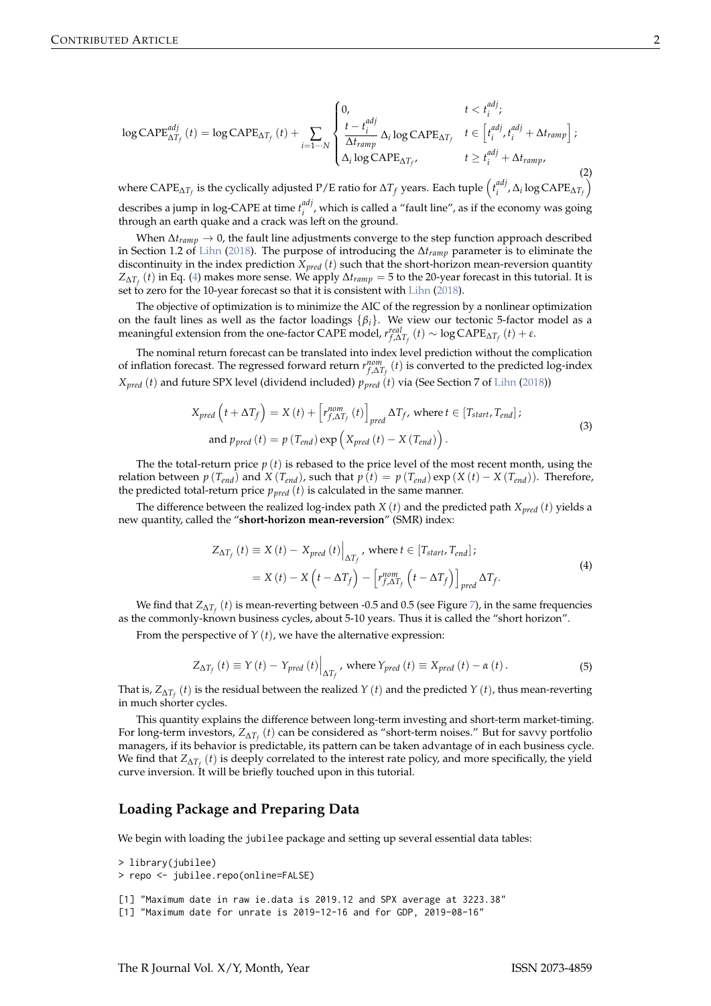<span id="page-1-3"></span><span id="page-1-1"></span>
$$
\log \text{CAPE}_{\Delta T_f}^{adj}(t) = \log \text{CAPE}_{\Delta T_f}(t) + \sum_{i=1\cdots N} \begin{cases} 0, & t < t_i^{adj}; \\ \frac{t - t_i^{adj}}{\Delta t_{ramp}} \Delta_i \log \text{CAPE}_{\Delta T_f} & t \in \left[ t_i^{adj}, t_i^{adj} + \Delta t_{ramp} \right]; \\ \Delta_i \log \text{CAPE}_{\Delta T_f}, & t \ge t_i^{adj} + \Delta t_{ramp}, \end{cases}
$$
(2)

where  $\text{CAPE}_{\Delta T_f}$  is the cyclically adjusted P/E ratio for  $\Delta T_f$  years. Each tuple  $\left(t_i^{adj}\right)$  $\left(\begin{matrix} a d j \\ i \end{matrix}\right)$ ,  $\Delta_i$   $\log$  CAPE<sub> $\Delta T_f$ </sub>) describes a jump in log-CAPE at time *t adj* <sup>*iii*</sup>, which is called a "fault line", as if the economy was going through an earth quake and a crack was left on the ground.

When ∆*tramp* → 0, the fault line adjustments converge to the step function approach described in Section 1.2 of [Lihn](#page-19-0) [\(2018\)](#page-19-0). The purpose of introducing the ∆*tramp* parameter is to eliminate the discontinuity in the index prediction *Xpred* (*t*) such that the short-horizon mean-reversion quantity *Z*∆*T<sup>f</sup>* (*t*) in Eq. [\(4\)](#page-1-0) makes more sense. We apply ∆*tramp* = 5 to the 20-year forecast in this tutorial. It is set to zero for the 10-year forecast so that it is consistent with [Lihn](#page-19-0) [\(2018\)](#page-19-0).

The objective of optimization is to minimize the AIC of the regression by a nonlinear optimization on the fault lines as well as the factor loadings  $\{\beta_i\}$ . We view our tectonic 5-factor model as a meaningful extension from the one-factor CAPE model,  $r_{f, \Delta T_f}^{real}(t) \sim \log CAPE_{\Delta T_f}(t) + \varepsilon$ .

The nominal return forecast can be translated into index level prediction without the complication of inflation forecast. The regressed forward return  $r^{nom}_{f, \Delta T_f}(t)$  is converted to the predicted log-index  $X_{pred}$  (*t*) and future SPX level (dividend included)  $p_{pred}$  (*t*) via (See Section 7 of [Lihn](#page-19-0) [\(2018\)](#page-19-0))

<span id="page-1-2"></span>
$$
X_{pred} \left( t + \Delta T_f \right) = X \left( t \right) + \left[ r_{f, \Delta T_f}^{nom} \left( t \right) \right]_{pred} \Delta T_f, \text{ where } t \in \left[ T_{start}, T_{end} \right];
$$
\n
$$
\text{and } p_{pred} \left( t \right) = p \left( T_{end} \right) \exp \left( X_{pred} \left( t \right) - X \left( T_{end} \right) \right).
$$
\n
$$
(3)
$$

The the total-return price  $p(t)$  is rebased to the price level of the most recent month, using the relation between  $p(T_{end})$  and  $X(T_{end})$ , such that  $p(t) = p(T_{end}) \exp(X(t) - X(T_{end}))$ . Therefore, the predicted total-return price  $p_{pred}(t)$  is calculated in the same manner.

The difference between the realized log-index path *X* (*t*) and the predicted path *Xpred* (*t*) yields a new quantity, called the "**short-horizon mean-reversion**" (SMR) index:

<span id="page-1-0"></span>
$$
Z_{\Delta T_f}(t) \equiv X(t) - X_{pred}(t) \Big|_{\Delta T_f}, \text{ where } t \in [T_{start}, T_{end}];
$$
  
=  $X(t) - X(t - \Delta T_f) - [r_{f,\Delta T_f}^{nom}(t - \Delta T_f)]_{pred} \Delta T_f.$  (4)

We find that  $Z_{\Delta T_{f}}\left(t\right)$  is mean-reverting between -0.5 and 0.5 (see Figure [7\)](#page-11-0), in the same frequencies as the commonly-known business cycles, about 5-10 years. Thus it is called the "short horizon".

From the perspective of *Y* (*t*), we have the alternative expression:

$$
Z_{\Delta T_f}(t) \equiv Y(t) - Y_{pred}(t) \Big|_{\Delta T_f}, \text{ where } Y_{pred}(t) \equiv X_{pred}(t) - \alpha(t). \tag{5}
$$

That is, *Z*∆*T<sup>f</sup>* (*t*) is the residual between the realized *Y* (*t*) and the predicted *Y* (*t*), thus mean-reverting in much shorter cycles.

This quantity explains the difference between long-term investing and short-term market-timing. For long-term investors, *Z*∆*T<sup>f</sup>* (*t*) can be considered as "short-term noises." But for savvy portfolio managers, if its behavior is predictable, its pattern can be taken advantage of in each business cycle. We find that *Z*∆*T<sup>f</sup>* (*t*) is deeply correlated to the interest rate policy, and more specifically, the yield curve inversion. It will be briefly touched upon in this tutorial.

### **Loading Package and Preparing Data**

We begin with loading the jubilee package and setting up several essential data tables:

```
> library(jubilee)
> repo <- jubilee.repo(online=FALSE)
[1] "Maximum date in raw ie.data is 2019.12 and SPX average at 3223.38"
[1] "Maximum date for unrate is 2019-12-16 and for GDP, 2019-08-16"
```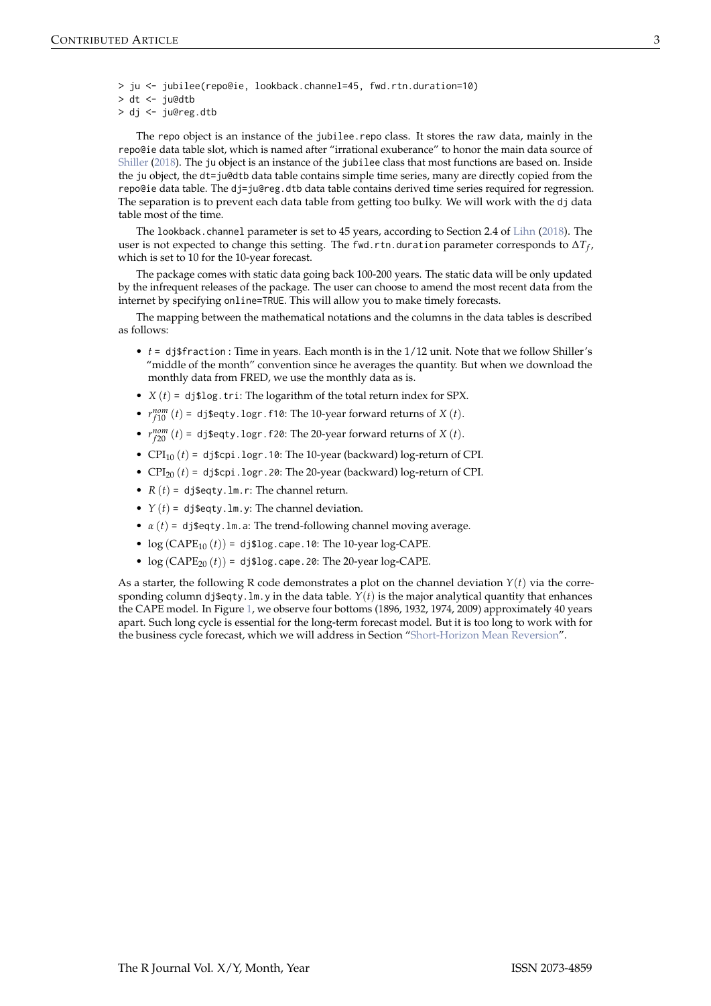- <span id="page-2-0"></span>> ju <- jubilee(repo@ie, lookback.channel=45, fwd.rtn.duration=10)
- > dt <- ju@dtb
- > dj <- ju@reg.dtb

The repo object is an instance of the jubilee.repo class. It stores the raw data, mainly in the repo@ie data table slot, which is named after "irrational exuberance" to honor the main data source of [Shiller](#page-19-3) [\(2018\)](#page-19-3). The ju object is an instance of the jubilee class that most functions are based on. Inside the ju object, the dt=ju@dtb data table contains simple time series, many are directly copied from the repo@ie data table. The dj=ju@reg.dtb data table contains derived time series required for regression. The separation is to prevent each data table from getting too bulky. We will work with the dj data table most of the time.

The lookback.channel parameter is set to 45 years, according to Section 2.4 of [Lihn](#page-19-0) [\(2018\)](#page-19-0). The user is not expected to change this setting. The fwd.rtn.duration parameter corresponds to  $\Delta T_f$ , which is set to 10 for the 10-year forecast.

The package comes with static data going back 100-200 years. The static data will be only updated by the infrequent releases of the package. The user can choose to amend the most recent data from the internet by specifying online=TRUE. This will allow you to make timely forecasts.

The mapping between the mathematical notations and the columns in the data tables is described as follows:

- *t* = dj\$fraction : Time in years. Each month is in the 1/12 unit. Note that we follow Shiller's "middle of the month" convention since he averages the quantity. But when we download the monthly data from FRED, we use the monthly data as is.
- $X(t) = df\$  and  $Y(t) = \frac{1}{2} \pi \int \frac{1}{t^2} \, dt$  and  $Y(t) = \frac{1}{2} \pi \int \frac{1}{t^2} \, dt$  and  $Y(t) = \frac{1}{2} \pi \int \frac{1}{t^2} \, dt$
- $r_{f10}^{nom}(t) =$  dj\$eqty.logr.f10: The 10-year forward returns of *X* (*t*).
- $r_{f20}^{nom}(t) = \text{dj}\$ geqty.logr.f20: The 20-year forward returns of *X* (*t*).
- CPI<sub>10</sub>  $(t)$  = dj\$cpi.logr.10: The 10-year (backward) log-return of CPI.
- $CPI_{20} (t) =$  dj\$cpi.logr.20: The 20-year (backward) log-return of CPI.
- $R(t) = \text{d}_1\text{seqty.lm.r:}$  The channel return.
- $Y(t) = \text{d} \text{j}\text{segty}. \text{Im. y:}$  The channel deviation.
- $\alpha(t)$  = dj\$eqty.lm.a: The trend-following channel moving average.
- $\log$  (CAPE<sub>10</sub> (*t*)) = dj\$log.cape.10: The 10-year log-CAPE.
- $\log (CAPE_{20}(t)) = \text{dj}$ \$log.cape.20: The 20-year log-CAPE.

As a starter, the following R code demonstrates a plot on the channel deviation  $Y(t)$  via the corresponding column dj\$eqty.lm.y in the data table.  $Y(t)$  is the major analytical quantity that enhances the CAPE model. In Figure [1,](#page-3-0) we observe four bottoms (1896, 1932, 1974, 2009) approximately 40 years apart. Such long cycle is essential for the long-term forecast model. But it is too long to work with for the business cycle forecast, which we will address in Section ["Short-Horizon Mean Reversion"](#page-10-0).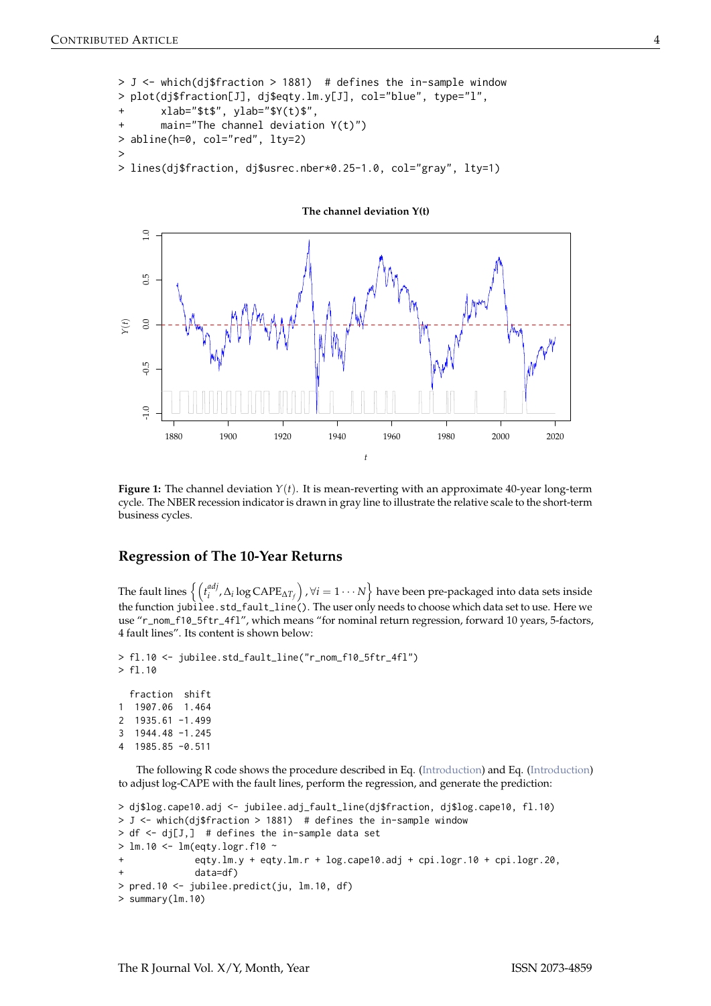```
> J <- which(dj$fraction > 1881) # defines the in-sample window
> plot(dj$fraction[J], dj$eqty.lm.y[J], col="blue", type="l",
       xlab="$t$", ylab="$Y(t)$",
       main="The channel deviation <math>Y(t)</math>)> abline(h=0, col="red", lty=2)
>
> lines(dj$fraction, dj$usrec.nber*0.25-1.0, col="gray", lty=1)
```
 $1.0$ -1.0 -0.5 0.0 0.5 1.0  $0.5$  $0.0$ *Y*(*t*)  $0.5$  $\overline{1.0}$ 1880 1900 1920 1940 1960 1980 2000 2020 *t*

**Figure 1:** The channel deviation  $Y(t)$ . It is mean-reverting with an approximate 40-year long-term cycle. The NBER recession indicator is drawn in gray line to illustrate the relative scale to the short-term

#### **Regression of The 10-Year Returns**

business cycles.

The fault lines  $\left\{ \int_t^{adj} f_i$  $\left\{ \begin{matrix} adj\,,\Delta_i\log{\text{CAPE}_{\Delta T_f}}\end{matrix}\right\}$  ,  $\forall i=1\cdots N\Big\}$  have been pre-packaged into data sets inside the function jubilee.std\_fault\_line(). The user only needs to choose which data set to use. Here we use "r\_nom\_f10\_5ftr\_4fl", which means "for nominal return regression, forward 10 years, 5-factors, 4 fault lines". Its content is shown below:

```
> fl.10 <- jubilee.std_fault_line("r_nom_f10_5ftr_4fl")
> fl.10
 fraction shift
1 1907.06 1.464
2 1935.61 -1.499
3 1944.48 -1.245
4 1985.85 -0.511
```
The following R code shows the procedure described in Eq. [\(Introduction\)](#page-1-1) and Eq. [\(Introduction\)](#page-1-2) to adjust log-CAPE with the fault lines, perform the regression, and generate the prediction:

```
> dj$log.cape10.adj <- jubilee.adj_fault_line(dj$fraction, dj$log.cape10, fl.10)
> J <- which(dj$fraction > 1881) # defines the in-sample window
> df < - dj[J,] # defines the in-sample data set
> lm.10 <- lm(eqty.logr.f10 ~
+ eqty.lm.y + eqty.lm.r + log.cape10.adj + cpi.logr.10 + cpi.logr.20,
             data=df)
> pred.10 <- jubilee.predict(ju, lm.10, df)
> summary(lm.10)
```
**The channel deviation Y(t)**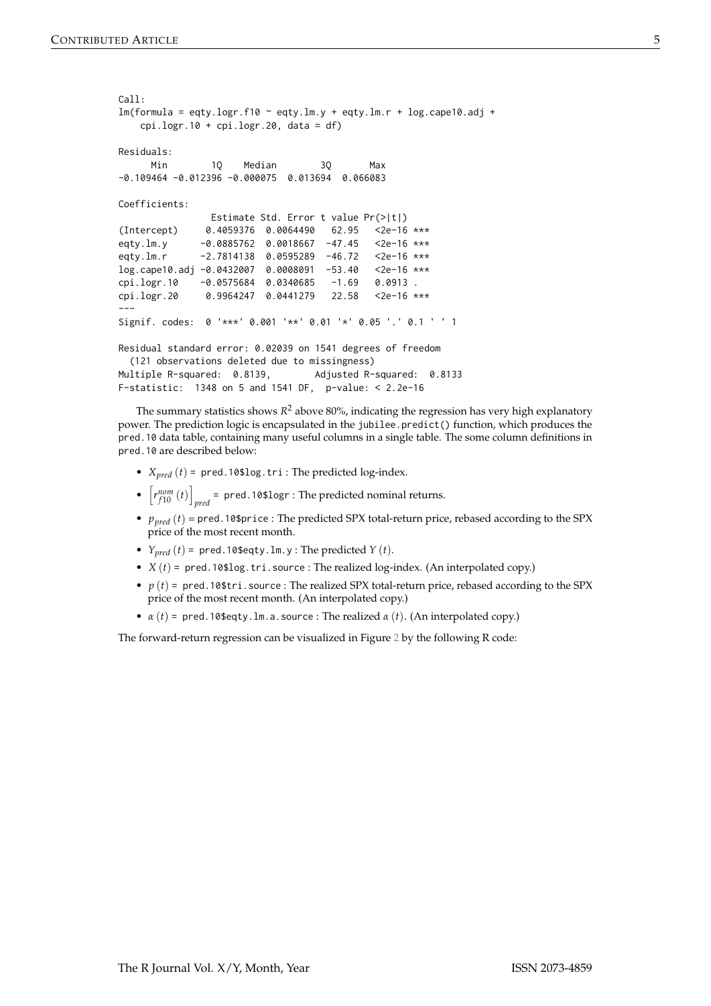```
Call:
lm(formula = eqty.logr.f10 ~ ~ eqty.lm.y + eqty.lm.r + log.cape10.add +cpi.logr.10 + cpi.logr.20, data = df)
Residuals:
     Min 10 Median 30 Max
-0.109464 -0.012396 -0.000075 0.013694 0.066083
Coefficients:
               Estimate Std. Error t value Pr(>|t|)
(Intercept) 0.4059376 0.0064490 62.95 <2e-16 ***
eqty.lm.y -0.0885762 0.0018667 -47.45 <2e-16 ***
eqty.lm.r -2.7814138 0.0595289 -46.72 <2e-16 ***
log.cape10.adj -0.0432007 0.0008091 -53.40 <2e-16 ***
cpi.logr.10 -0.0575684 0.0340685 -1.69 0.0913 .
cpi.logr.20 0.9964247 0.0441279 22.58 <2e-16 ***
---
Signif. codes: 0 '***' 0.001 '**' 0.01 '*' 0.05 '.' 0.1 ' ' 1
Residual standard error: 0.02039 on 1541 degrees of freedom
 (121 observations deleted due to missingness)
Multiple R-squared: 0.8139, Adjusted R-squared: 0.8133
F-statistic: 1348 on 5 and 1541 DF, p-value: < 2.2e-16
```
The summary statistics shows  $R^2$  above 80%, indicating the regression has very high explanatory power. The prediction logic is encapsulated in the jubilee.predict() function, which produces the pred.10 data table, containing many useful columns in a single table. The some column definitions in pred.10 are described below:

- *Xpred* (*t*) = pred.10\$log.tri : The predicted log-index.
- $\bullet$   $\left[ r_{f10}^{nom}(t) \right]$ *pred* = pred.10\$logr : The predicted nominal returns.
- *ppred* (*t*) = pred.10\$price : The predicted SPX total-return price, rebased according to the SPX price of the most recent month.
- $Y_{pred}(t)$  = pred.10\$eqty.1m.y: The predicted  $Y(t)$ .
- $X(t)$  = pred.10\$log.tri.source: The realized log-index. (An interpolated copy.)
- $p(t)$  = pred.10\$tri.source: The realized SPX total-return price, rebased according to the SPX price of the most recent month. (An interpolated copy.)
- $\alpha(t)$  = pred.10\$eqty.1m.a.source : The realized  $\alpha(t)$ . (An interpolated copy.)

The forward-return regression can be visualized in Figure [2](#page-5-0) by the following R code: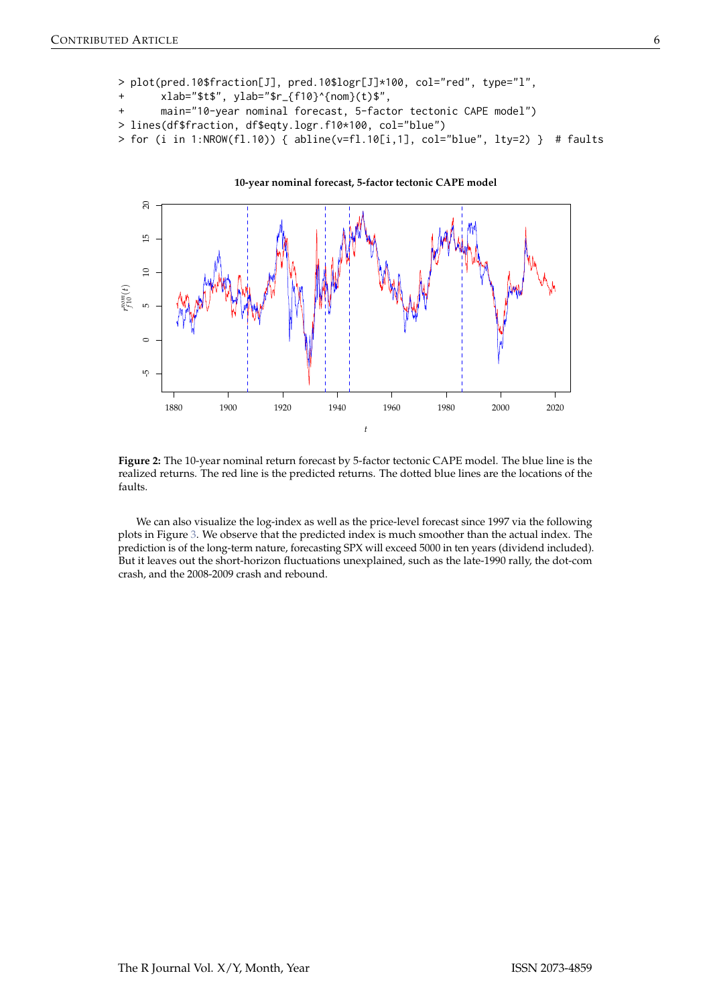```
> plot(pred.10$fraction[J], pred.10$logr[J]*100, col="red", type="l",
       + xlab="$t$", ylab="$r_{f10}^{nom}(t)$",
      main="10-year nominal forecast, 5-factor tectonic CAPE model")
> lines(df$fraction, df$eqty.logr.f10*100, col="blue")
> for (i in 1:NROW(fl.10)) { abline(v=f1.10[i,1], col='blue", lty=2) } # faults
```


**Figure 2:** The 10-year nominal return forecast by 5-factor tectonic CAPE model. The blue line is the realized returns. The red line is the predicted returns. The dotted blue lines are the locations of the faults.

We can also visualize the log-index as well as the price-level forecast since 1997 via the following plots in Figure [3.](#page-6-0) We observe that the predicted index is much smoother than the actual index. The prediction is of the long-term nature, forecasting SPX will exceed 5000 in ten years (dividend included). But it leaves out the short-horizon fluctuations unexplained, such as the late-1990 rally, the dot-com crash, and the 2008-2009 crash and rebound.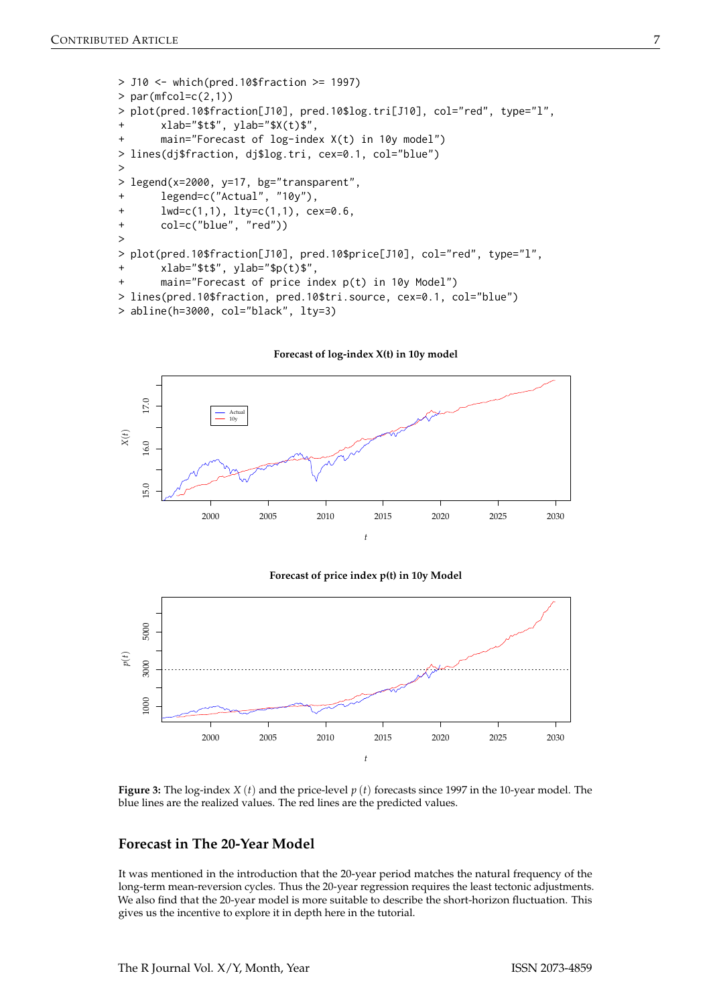```
> J10 <- which(pred.10$fraction >= 1997)
> par(mfcol=c(2,1))
> plot(pred.10$fraction[J10], pred.10$log.tri[J10], col="red", type="l",
       xlab="$t$", ylab="$X(t)$",
       main="Forecast of log-index X(t) in 10y model")> lines(dj$fraction, dj$log.tri, cex=0.1, col="blue")
>
> legend(x=2000, y=17, bg="transparent",
+ legend=c("Actual", "10y"),
       1wd=c(1,1), 1ty=c(1,1), cex=0.6,
+ col=c("blue", "red"))
>
> plot(pred.10$fraction[J10], pred.10$price[J10], col="red", type="l",
+ xlab="$t$", ylab="$p(t)$",
       main="Forecast of price index p(t) in 10y Model")
> lines(pred.10$fraction, pred.10$tri.source, cex=0.1, col="blue")
> abline(h=3000, col="black", lty=3)
```


**Forecast of price index p(t) in 10y Model**



**Figure 3:** The log-index *X* (*t*) and the price-level *p* (*t*) forecasts since 1997 in the 10-year model. The blue lines are the realized values. The red lines are the predicted values.

# **Forecast in The 20-Year Model**

It was mentioned in the introduction that the 20-year period matches the natural frequency of the long-term mean-reversion cycles. Thus the 20-year regression requires the least tectonic adjustments. We also find that the 20-year model is more suitable to describe the short-horizon fluctuation. This gives us the incentive to explore it in depth here in the tutorial.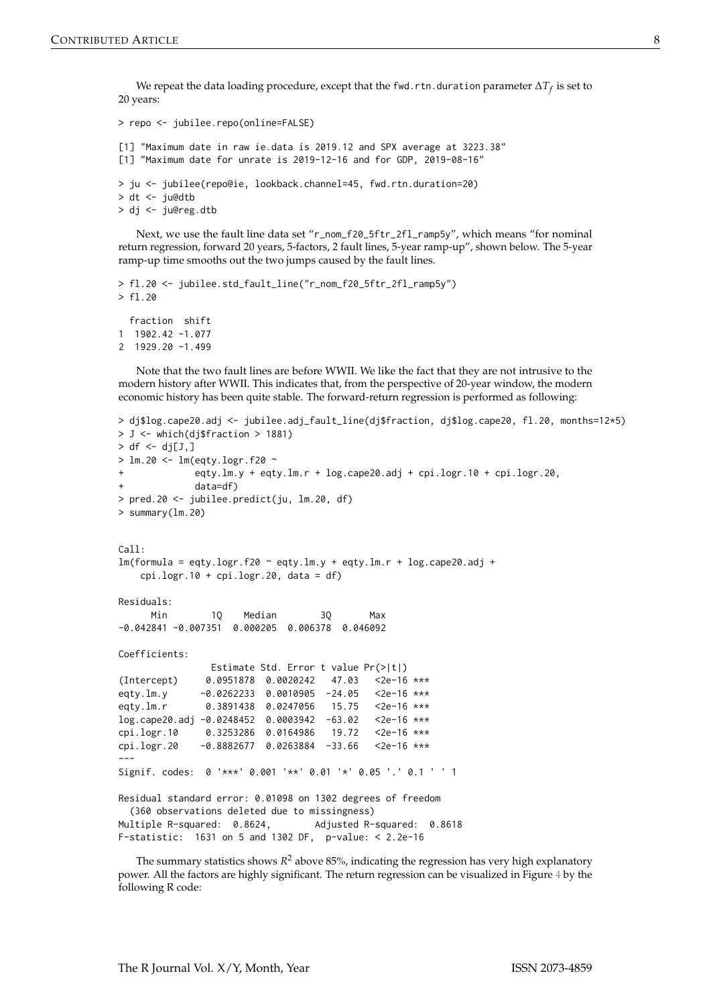We repeat the data loading procedure, except that the fwd.rtn.duration parameter ∆*T<sup>f</sup>* is set to 20 years:

```
> repo <- jubilee.repo(online=FALSE)
[1] "Maximum date in raw ie.data is 2019.12 and SPX average at 3223.38"
[1] "Maximum date for unrate is 2019-12-16 and for GDP, 2019-08-16"
> ju <- jubilee(repo@ie, lookback.channel=45, fwd.rtn.duration=20)
> dt <- ju@dtb
> dj <- ju@reg.dtb
```
Next, we use the fault line data set "r\_nom\_f20\_5ftr\_2fl\_ramp5y", which means "for nominal return regression, forward 20 years, 5-factors, 2 fault lines, 5-year ramp-up", shown below. The 5-year ramp-up time smooths out the two jumps caused by the fault lines.

```
> fl.20 <- jubilee.std_fault_line("r_nom_f20_5ftr_2fl_ramp5y")
> fl.20
 fraction shift
1 1902.42 -1.077
2 1929.20 -1.499
```
Note that the two fault lines are before WWII. We like the fact that they are not intrusive to the modern history after WWII. This indicates that, from the perspective of 20-year window, the modern economic history has been quite stable. The forward-return regression is performed as following:

```
> dj$log.cape20.adj <- jubilee.adj_fault_line(dj$fraction, dj$log.cape20, fl.20, months=12*5)
> J <- which(dj$fraction > 1881)
> df < - dj[J, ]> lm.20 <- lm(eqty.logr.f20 ~
             eqty.lm.y + eqty.lm.r + log.cape20.adj + cpi.logr.10 + cpi.logr.20,\text{data}=df)
> pred.20 <- jubilee.predict(ju, lm.20, df)
> summary(lm.20)
C<sub>a</sub>11.
lm(formula = eqty.logr.f20 ~ ~ eqty.lm.y + eqty.lm.r + log.cape20.add +cpi.logr.10 + cpi.logr.20, data = df)
Residuals:
     Min 1Q Median 3Q Max
-0.042841 -0.007351 0.000205 0.006378 0.046092
Coefficients:
               Estimate Std. Error t value Pr(>|t|)
(Intercept) 0.0951878 0.0020242 47.03 <2e-16 ***
eqty.lm.y -0.0262233 0.0010905 -24.05 <2e-16 ***
eqty.lm.r 0.3891438 0.0247056 15.75 <2e-16 ***
log.cape20.adj -0.0248452 0.0003942 -63.02 <2e-16 ***
cpi.logr.10 0.3253286 0.0164986 19.72 <2e-16 ***
cpi.logr.20 -0.8882677 0.0263884 -33.66 <2e-16 ***
---
Signif. codes: 0 '***' 0.001 '**' 0.01 '*' 0.05 '.' 0.1 ' ' 1
Residual standard error: 0.01098 on 1302 degrees of freedom
  (360 observations deleted due to missingness)
Multiple R-squared: 0.8624, Adjusted R-squared: 0.8618
F-statistic: 1631 on 5 and 1302 DF, p-value: < 2.2e-16
```
The summary statistics shows  $R^2$  above 85%, indicating the regression has very high explanatory power. All the factors are highly significant. The return regression can be visualized in Figure [4](#page-8-0) by the following R code: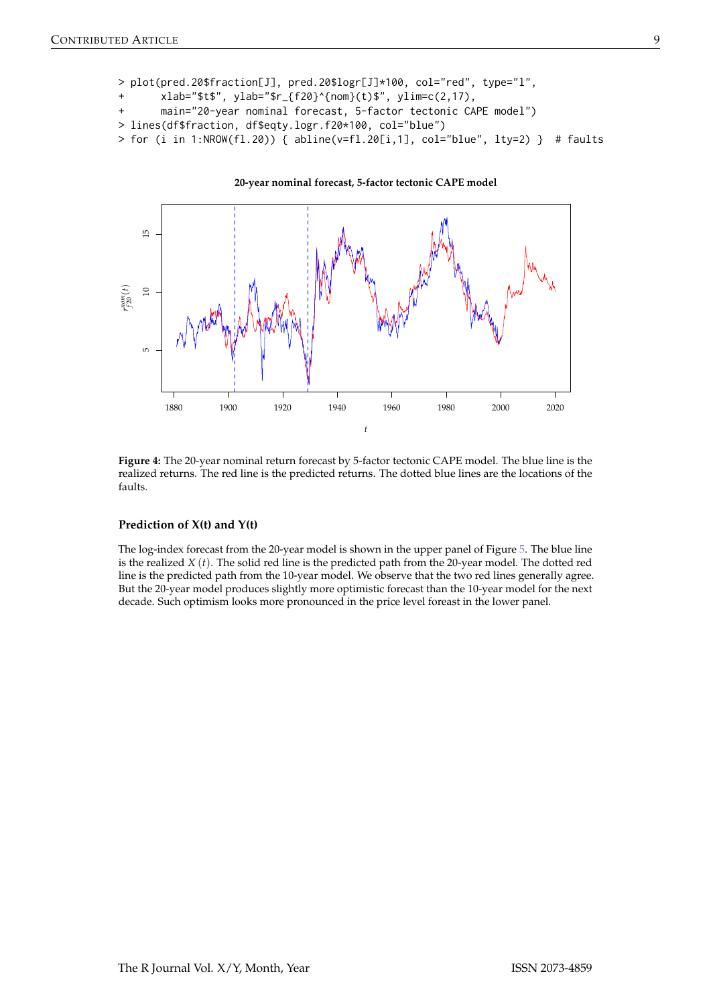```
> plot(pred.20$fraction[J], pred.20$logr[J]*100, col="red", type="l",
       xlab=" $t$", ylab="$r_{f20}^{20}^{(nom)}(t)$", ylim=c(2,17),
       main="20-year nominal forecast, 5-factor tectonic CAPE model")
> lines(df$fraction, df$eqty.logr.f20*100, col="blue")
> for (i in 1:NROW(fl.20)) { abline(v=f1.20[i,1], col='blue", lty=2) } # faults
```


**Figure 4:** The 20-year nominal return forecast by 5-factor tectonic CAPE model. The blue line is the realized returns. The red line is the predicted returns. The dotted blue lines are the locations of the faults.

### **Prediction of X(t) and Y(t)**

The log-index forecast from the 20-year model is shown in the upper panel of Figure [5.](#page-9-0) The blue line is the realized *X* (*t*). The solid red line is the predicted path from the 20-year model. The dotted red line is the predicted path from the 10-year model. We observe that the two red lines generally agree. But the 20-year model produces slightly more optimistic forecast than the 10-year model for the next decade. Such optimism looks more pronounced in the price level foreast in the lower panel.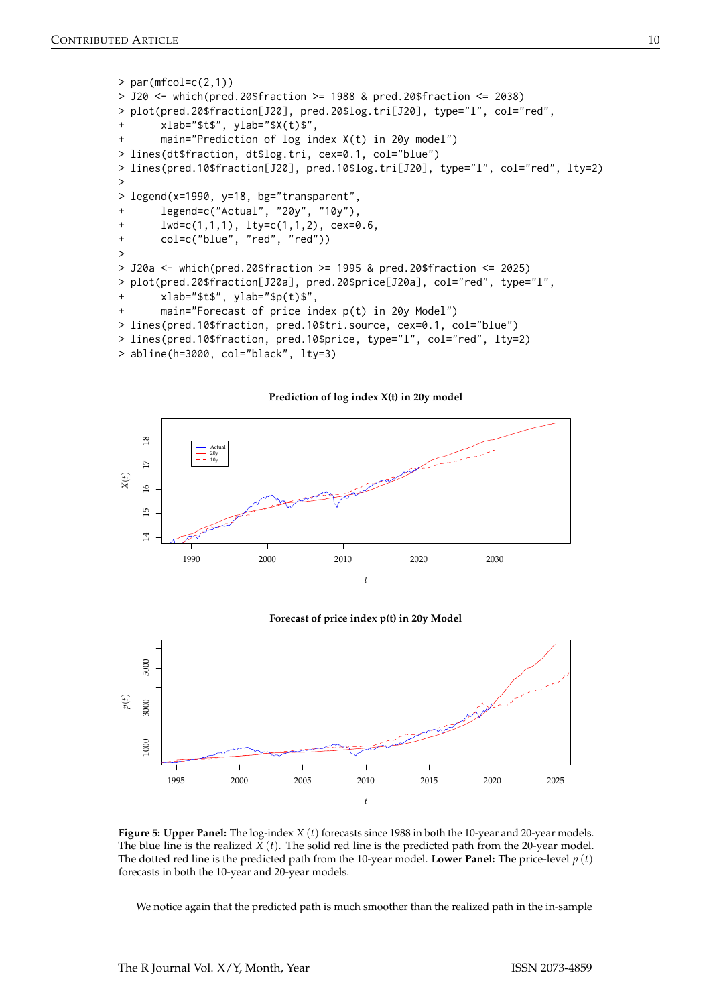```
> par(mfcol=c(2,1))
> J20 <- which(pred.20$fraction >= 1988 & pred.20$fraction <= 2038)
> plot(pred.20$fraction[J20], pred.20$log.tri[J20], type="l", col="red",
       xlab="$t$", ylab="$X(t)$",
       main="Prediction of log index X(t) in 20y model")> lines(dt$fraction, dt$log.tri, cex=0.1, col="blue")
> lines(pred.10$fraction[J20], pred.10$log.tri[J20], type="l", col="red", lty=2)
>
> legend(x=1990, y=18, bg="transparent",
+ legend=c("Actual", "20y", "10y"),
       1wd=c(1,1,1), 1ty=c(1,1,2), cex=0.6,
+ col=c("blue", "red", "red"))
>
> J20a <- which(pred.20$fraction >= 1995 & pred.20$fraction <= 2025)
> plot(pred.20$fraction[J20a], pred.20$price[J20a], col="red", type="l",
       xlab="$t$", ylab="$p(t)$",
       main="Forecast of price index p(t) in 20y Model"> lines(pred.10$fraction, pred.10$tri.source, cex=0.1, col="blue")
> lines(pred.10$fraction, pred.10$price, type="l", col="red", lty=2)
> abline(h=3000, col="black", lty=3)
```
**Prediction of log index X(t) in 20y model**  $\overline{18}$ 14 15 16 17 18 Actual 20y 10y  $\overline{D}$ *X*(*t*)  $\circ$  $\overline{15}$  $\overline{\mathcal{A}}$ 1990 2000 2010 2020 2030

#### **Forecast of price index p(t) in 20y Model**

*t*



**Figure 5: Upper Panel:** The log-index *X* (*t*) forecasts since 1988 in both the 10-year and 20-year models. The blue line is the realized  $\bar{X}(t)$ . The solid red line is the predicted path from the 20-year model. The dotted red line is the predicted path from the 10-year model. **Lower Panel:** The price-level  $p(t)$ forecasts in both the 10-year and 20-year models.

We notice again that the predicted path is much smoother than the realized path in the in-sample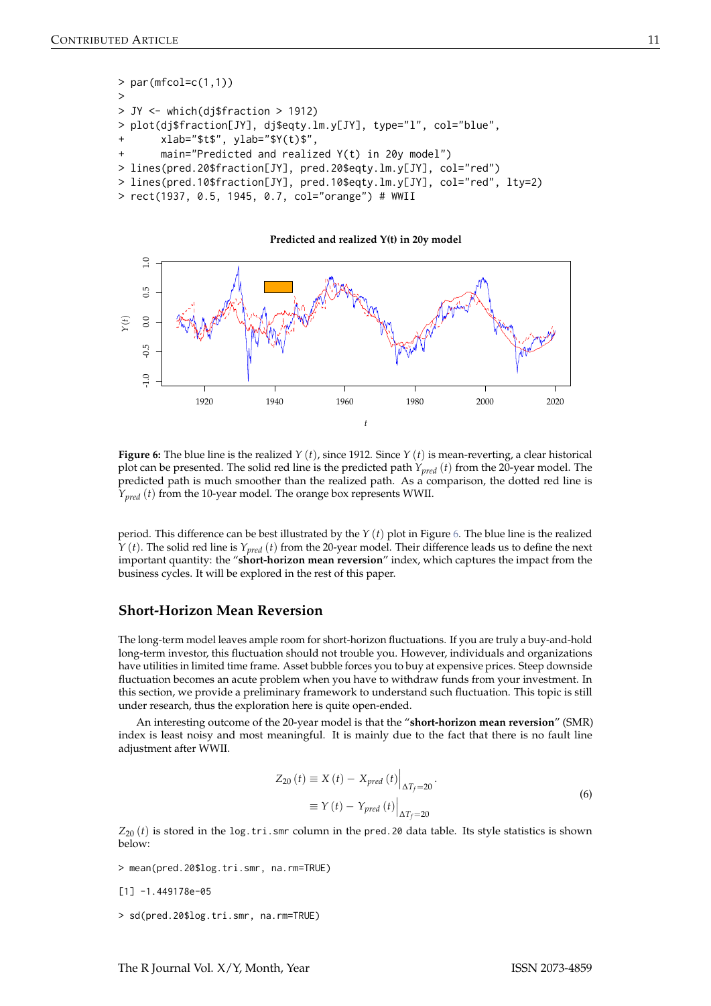```
> par(mfcol=c(1,1))
>
> JY <- which(dj$fraction > 1912)
> plot(dj$fraction[JY], dj$eqty.lm.y[JY], type="l", col="blue",
       xlab="$t$", ylab="$Y(t)$",
       main="Predicted and realized Y(t) in 20y model")
> lines(pred.20$fraction[JY], pred.20$eqty.lm.y[JY], col="red")
> lines(pred.10$fraction[JY], pred.10$eqty.lm.y[JY], col="red", lty=2)
> rect(1937, 0.5, 1945, 0.7, col="orange") # WWII
```


**Figure 6:** The blue line is the realized *Y* (*t*), since 1912. Since *Y* (*t*) is mean-reverting, a clear historical plot can be presented. The solid red line is the predicted path *Ypred* (*t*) from the 20-year model. The predicted path is much smoother than the realized path. As a comparison, the dotted red line is *Y*<sub>pred</sub> (*t*) from the 10-year model. The orange box represents WWII.

period. This difference can be best illustrated by the *Y* (*t*) plot in Figure [6.](#page-10-1) The blue line is the realized *Y* (*t*). The solid red line is *Ypred* (*t*) from the 20-year model. Their difference leads us to define the next important quantity: the "**short-horizon mean reversion**" index, which captures the impact from the business cycles. It will be explored in the rest of this paper.

## <span id="page-10-0"></span>**Short-Horizon Mean Reversion**

The long-term model leaves ample room for short-horizon fluctuations. If you are truly a buy-and-hold long-term investor, this fluctuation should not trouble you. However, individuals and organizations have utilities in limited time frame. Asset bubble forces you to buy at expensive prices. Steep downside fluctuation becomes an acute problem when you have to withdraw funds from your investment. In this section, we provide a preliminary framework to understand such fluctuation. This topic is still under research, thus the exploration here is quite open-ended.

An interesting outcome of the 20-year model is that the "**short-horizon mean reversion**" (SMR) index is least noisy and most meaningful. It is mainly due to the fact that there is no fault line adjustment after WWII.

$$
Z_{20}(t) \equiv X(t) - X_{pred}(t) \Big|_{\Delta T_f = 20}.
$$
  

$$
\equiv Y(t) - Y_{pred}(t) \Big|_{\Delta T_f = 20}.
$$
 (6)

 $Z_{20}$  (*t*) is stored in the log.tri.smr column in the pred.20 data table. Its style statistics is shown below:

> mean(pred.20\$log.tri.smr, na.rm=TRUE)

```
[1] -1.449178e-05
```
> sd(pred.20\$log.tri.smr, na.rm=TRUE)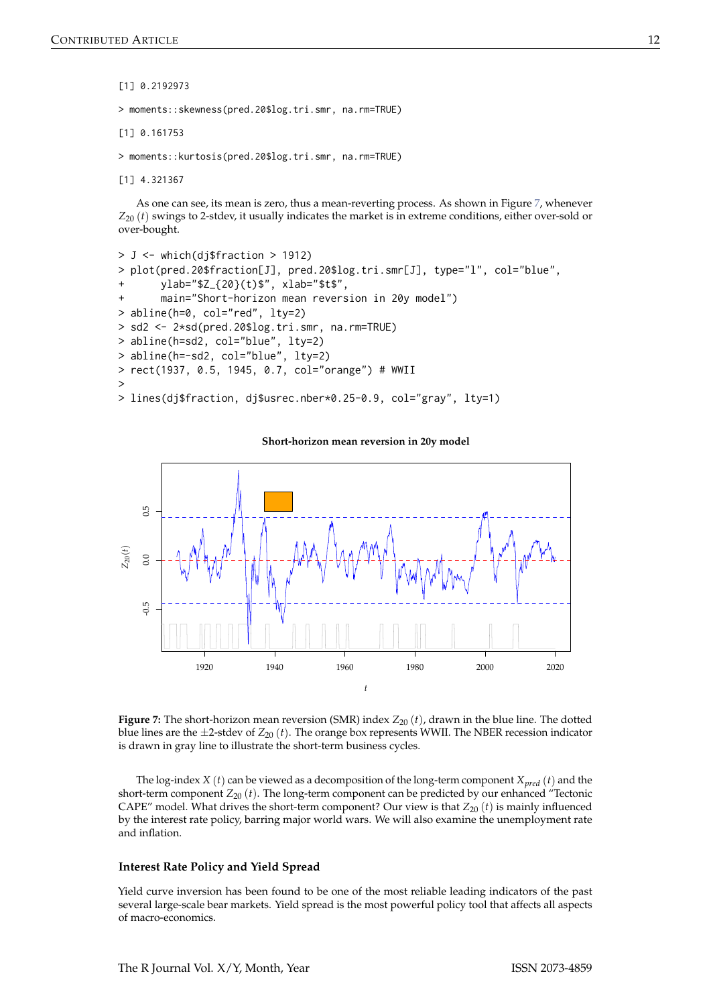[1] 0.2192973

> moments::skewness(pred.20\$log.tri.smr, na.rm=TRUE)

[1] 0.161753

> moments::kurtosis(pred.20\$log.tri.smr, na.rm=TRUE)

[1] 4.321367

As one can see, its mean is zero, thus a mean-reverting process. As shown in Figure [7,](#page-11-0) whenever  $Z_{20}$  (*t*) swings to 2-stdev, it usually indicates the market is in extreme conditions, either over-sold or over-bought.

```
> J <- which(dj$fraction > 1912)
> plot(pred.20$fraction[J], pred.20$log.tri.smr[J], type="l", col="blue",
       ylab="$Z_{20}(t)$", xlab="$t$",
       main="Short-horizon mean reversion in 20y model")
> abline(h=0, col="red", lty=2)
> sd2 <- 2*sd(pred.20$log.tri.smr, na.rm=TRUE)
> abline(h=sd2, col="blue", lty=2)
> abline(h=-sd2, col="blue", lty=2)
> rect(1937, 0.5, 1945, 0.7, col="orange") # WWII
>
> lines(dj$fraction, dj$usrec.nber*0.25-0.9, col="gray", lty=1)
```
 $0.5$  $-0.5$  0.0 0.5 *Z*20(*t*)  $0.0$  $0.5$ 1920 1940 1960 1980 2000 2020 *t*

**Short-horizon mean reversion in 20y model**



The log-index *X* (*t*) can be viewed as a decomposition of the long-term component  $X_{\text{pred}}(t)$  and the short-term component  $Z_{20} (t)$ . The long-term component can be predicted by our enhanced "Tectonic CAPE" model. What drives the short-term component? Our view is that  $Z_{20}$  (*t*) is mainly influenced by the interest rate policy, barring major world wars. We will also examine the unemployment rate and inflation.

#### **Interest Rate Policy and Yield Spread**

Yield curve inversion has been found to be one of the most reliable leading indicators of the past several large-scale bear markets. Yield spread is the most powerful policy tool that affects all aspects of macro-economics.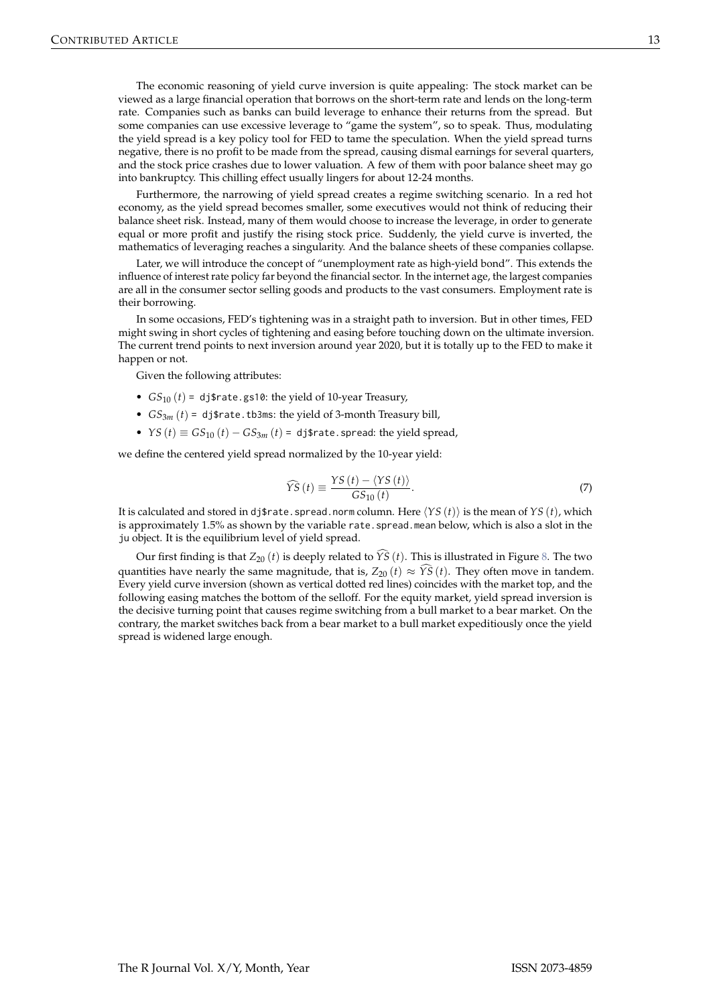The economic reasoning of yield curve inversion is quite appealing: The stock market can be viewed as a large financial operation that borrows on the short-term rate and lends on the long-term rate. Companies such as banks can build leverage to enhance their returns from the spread. But some companies can use excessive leverage to "game the system", so to speak. Thus, modulating the yield spread is a key policy tool for FED to tame the speculation. When the yield spread turns negative, there is no profit to be made from the spread, causing dismal earnings for several quarters, and the stock price crashes due to lower valuation. A few of them with poor balance sheet may go into bankruptcy. This chilling effect usually lingers for about 12-24 months.

Furthermore, the narrowing of yield spread creates a regime switching scenario. In a red hot economy, as the yield spread becomes smaller, some executives would not think of reducing their balance sheet risk. Instead, many of them would choose to increase the leverage, in order to generate equal or more profit and justify the rising stock price. Suddenly, the yield curve is inverted, the mathematics of leveraging reaches a singularity. And the balance sheets of these companies collapse.

Later, we will introduce the concept of "unemployment rate as high-yield bond". This extends the influence of interest rate policy far beyond the financial sector. In the internet age, the largest companies are all in the consumer sector selling goods and products to the vast consumers. Employment rate is their borrowing.

In some occasions, FED's tightening was in a straight path to inversion. But in other times, FED might swing in short cycles of tightening and easing before touching down on the ultimate inversion. The current trend points to next inversion around year 2020, but it is totally up to the FED to make it happen or not.

Given the following attributes:

- $GS_{10}(t) = \text{d}$  *s* rate.gs10: the yield of 10-year Treasury,
- $GS_{3m}(t) = \text{dj}\$  rate.tb3ms: the yield of 3-month Treasury bill,
- *YS*  $(t) \equiv GS_{10}(t) GS_{3m}(t) = \text{dj\$rate}$ . spread: the yield spread,

we define the centered yield spread normalized by the 10-year yield:

$$
\widehat{YS}\left(t\right) \equiv \frac{YS\left(t\right) - \langle YS\left(t\right) \rangle}{GS_{10}\left(t\right)}.\tag{7}
$$

It is calculated and stored in dj\$rate.spread.norm column. Here  $\langle YS(t) \rangle$  is the mean of *YS* (*t*), which is approximately 1.5% as shown by the variable rate.spread.mean below, which is also a slot in the ju object. It is the equilibrium level of yield spread.

Our first finding is that  $Z_{20}$  (*t*) is deeply related to  $\widehat{YS}$  (*t*). This is illustrated in Figure [8.](#page-13-0) The two quantities have nearly the same magnitude, that is,  $Z_{20} (t) \approx \widehat{YS}(t)$ . They often move in tandem. Every yield curve inversion (shown as vertical dotted red lines) coincides with the market top, and the following easing matches the bottom of the selloff. For the equity market, yield spread inversion is the decisive turning point that causes regime switching from a bull market to a bear market. On the contrary, the market switches back from a bear market to a bull market expeditiously once the yield spread is widened large enough.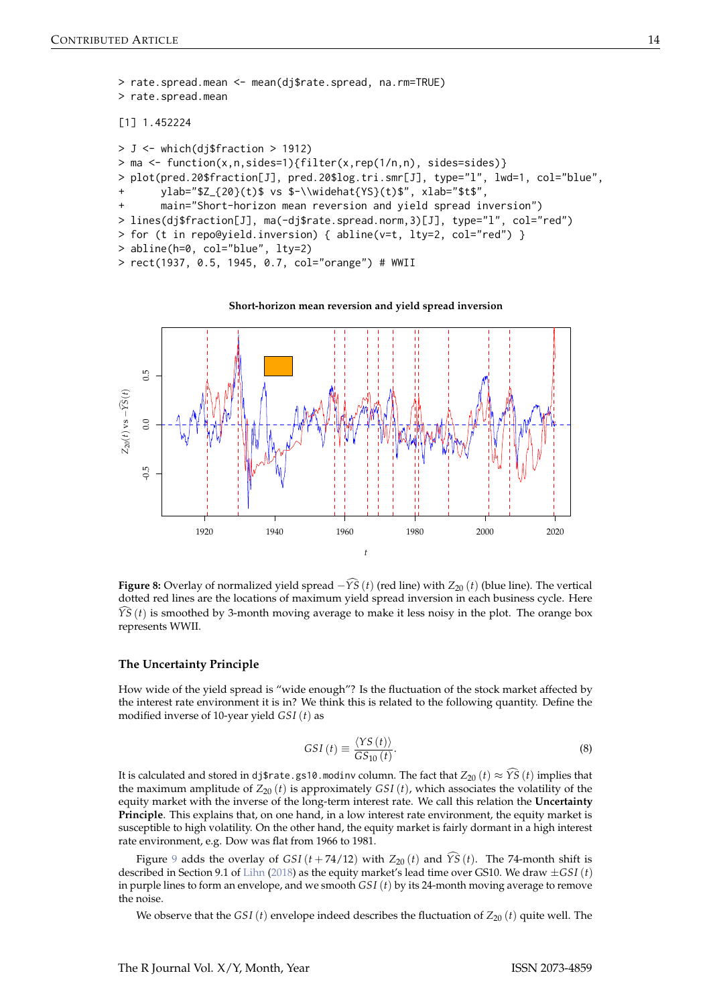```
> rate.spread.mean <- mean(dj$rate.spread, na.rm=TRUE)
> rate.spread.mean
[1] 1.452224
> J <- which(dj$fraction > 1912)
> ma <- function(x,n,sides=1){filter(x,rep(1/n,n), sides=sides)}
> plot(pred.20$fraction[J], pred.20$log.tri.smr[J], type="l", lwd=1, col="blue",
       ylab="$Z_{20}(t)$ vs $-\\widehat{YS}(t)$", xlab="$t$",
      main="Short-horizon mean reversion and yield spread inversion")
> lines(dj$fraction[J], ma(-dj$rate.spread.norm,3)[J], type="l", col="red")
> for (t in repo@yield.inversion) { abline(v=t, lty=2, col="red") }
> abline(h=0, col="blue", lty=2)
> rect(1937, 0.5, 1945, 0.7, col="orange") # WWII
```
#### **Short-horizon mean reversion and yield spread inversion**



**Figure 8:** Overlay of normalized yield spread  $-\hat{Y}\hat{S}(t)$  (red line) with  $Z_{20}(t)$  (blue line). The vertical dotted red lines are the locations of maximum yield spread inversion in each business cycle. Here *YS* (*t*) is smoothed by 3-month moving average to make it less noisy in the plot. The orange box represents WWII.

#### **The Uncertainty Principle**

How wide of the yield spread is "wide enough"? Is the fluctuation of the stock market affected by the interest rate environment it is in? We think this is related to the following quantity. Define the modified inverse of 10-year yield *GSI* (*t*) as

$$
GSI(t) \equiv \frac{\langle YS(t) \rangle}{GS_{10}(t)}.
$$
\n(8)

It is calculated and stored in dj\$rate.gs10.modinv column. The fact that  $Z_{20}(t) \approx \hat{Y}\hat{S}(t)$  implies that the maximum amplitude of  $Z_{20}$  (*t*) is approximately *GSI* (*t*), which associates the volatility of the equity market with the inverse of the long-term interest rate. We call this relation the **Uncertainty Principle**. This explains that, on one hand, in a low interest rate environment, the equity market is susceptible to high volatility. On the other hand, the equity market is fairly dormant in a high interest rate environment, e.g. Dow was flat from 1966 to 1981.

Figure [9](#page-14-0) adds the overlay of *GSI* ( $t + 74/12$ ) with  $Z_{20}(t)$  and  $\widehat{YS}(t)$ . The 74-month shift is described in Section 9.1 of [Lihn](#page-19-0) [\(2018\)](#page-19-0) as the equity market's lead time over GS10. We draw ±*GSI* (*t*) in purple lines to form an envelope, and we smooth *GSI* (*t*) by its 24-month moving average to remove the noise.

We observe that the *GSI* (*t*) envelope indeed describes the fluctuation of  $Z_{20}$  (*t*) quite well. The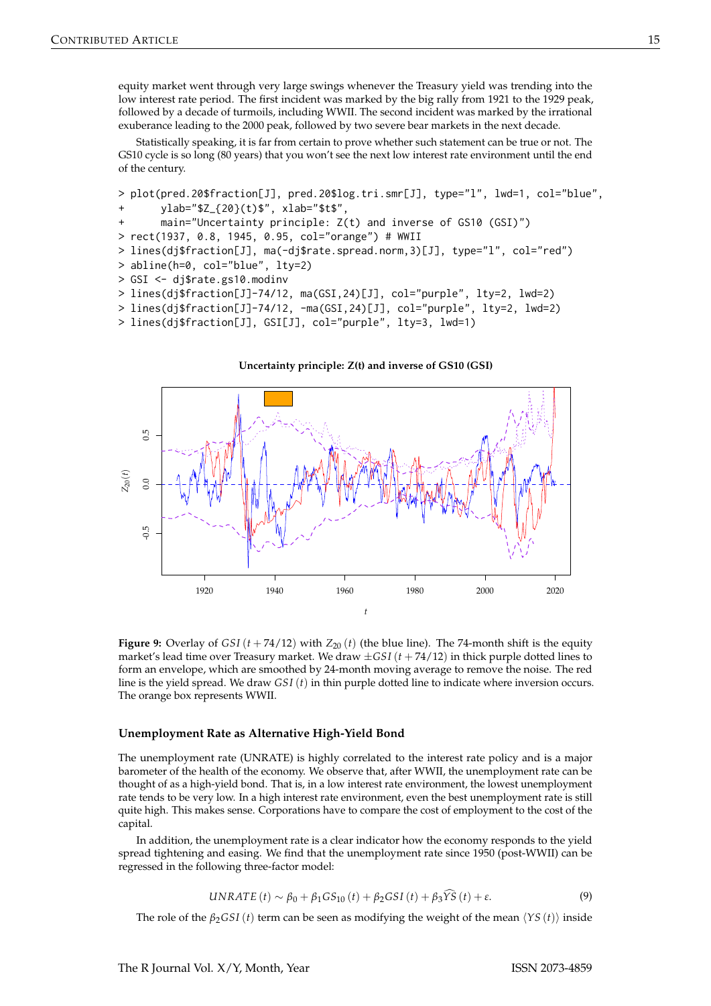equity market went through very large swings whenever the Treasury yield was trending into the low interest rate period. The first incident was marked by the big rally from 1921 to the 1929 peak, followed by a decade of turmoils, including WWII. The second incident was marked by the irrational exuberance leading to the 2000 peak, followed by two severe bear markets in the next decade.

Statistically speaking, it is far from certain to prove whether such statement can be true or not. The GS10 cycle is so long (80 years) that you won't see the next low interest rate environment until the end of the century.

```
> plot(pred.20$fraction[J], pred.20$log.tri.smr[J], type="l", lwd=1, col="blue",
       ylab="$Z_{20}(t)$", xlab="$t$",
       main="Uncertainty principle: Z(t) and inverse of GS10 (GSI)")
> rect(1937, 0.8, 1945, 0.95, col="orange") # WWII
> lines(dj$fraction[J], ma(-dj$rate.spread.norm,3)[J], type="l", col="red")
> abline(h=0, col="blue", lty=2)
> GSI <- dj$rate.gs10.modinv
> lines(dj$fraction[J]-74/12, ma(GSI,24)[J], col="purple", lty=2, lwd=2)
> lines(dj$fraction[J]-74/12, -ma(GSI,24)[J], col="purple", lty=2, lwd=2)
> lines(dj$fraction[J], GSI[J], col="purple", lty=3, lwd=1)
```
**Uncertainty principle: Z(t) and inverse of GS10 (GSI)**

# 0.5  $-0.5$  0.0 0.5 *Z*20(*t*)  $0.0$  $-0.5$ 1920 1940 1960 1980 2000 2020 *t*

**Figure 9:** Overlay of  $GSI(t + 74/12)$  with  $Z_{20}(t)$  (the blue line). The 74-month shift is the equity market's lead time over Treasury market. We draw  $\pm$ *GSI* ( $t$  + 74/12) in thick purple dotted lines to form an envelope, which are smoothed by 24-month moving average to remove the noise. The red line is the yield spread. We draw *GSI* (*t*) in thin purple dotted line to indicate where inversion occurs. The orange box represents WWII.

#### **Unemployment Rate as Alternative High-Yield Bond**

The unemployment rate (UNRATE) is highly correlated to the interest rate policy and is a major barometer of the health of the economy. We observe that, after WWII, the unemployment rate can be thought of as a high-yield bond. That is, in a low interest rate environment, the lowest unemployment rate tends to be very low. In a high interest rate environment, even the best unemployment rate is still quite high. This makes sense. Corporations have to compare the cost of employment to the cost of the capital.

In addition, the unemployment rate is a clear indicator how the economy responds to the yield spread tightening and easing. We find that the unemployment rate since 1950 (post-WWII) can be regressed in the following three-factor model:

$$
UNRATE(t) \sim \beta_0 + \beta_1 GS_{10}(t) + \beta_2 GSI(t) + \beta_3 \widehat{YS}(t) + \varepsilon. \tag{9}
$$

The role of the  $\beta_2GSI(t)$  term can be seen as modifying the weight of the mean  $\langle YS(t) \rangle$  inside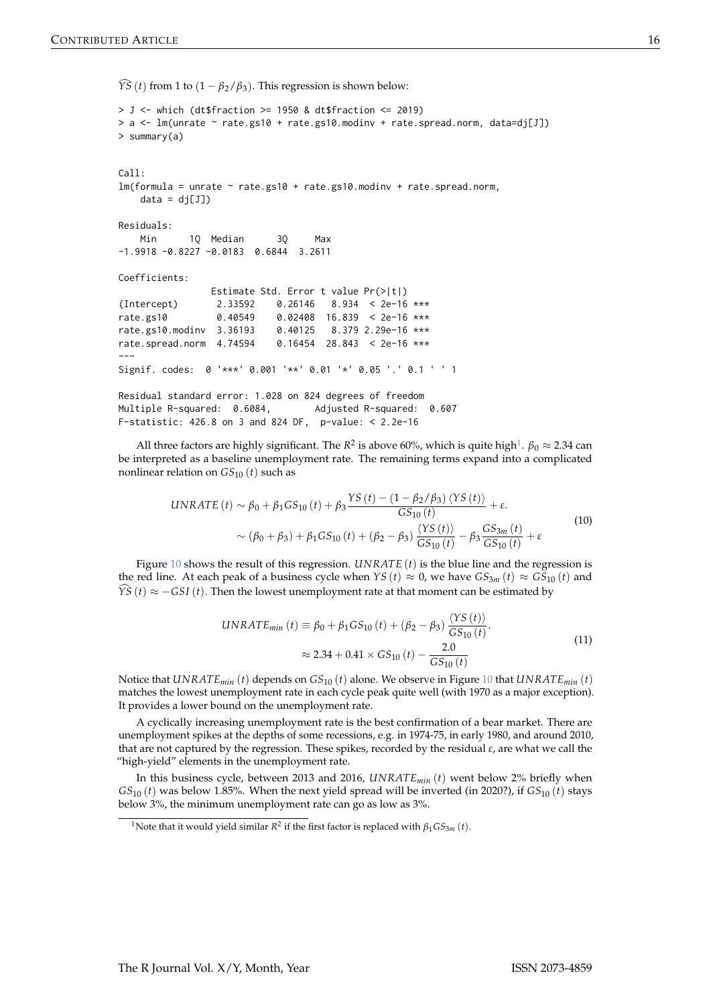$\widehat{YS}(t)$  from 1 to  $(1 - \beta_2/\beta_3)$ . This regression is shown below:

```
> J <- which (dt$fraction >= 1950 & dt$fraction <= 2019)
> a < -1m(unrate \sim rate.gs10 + rate.gs10.modinv + rate.spread.norm, data=dj[J])
> summary(a)
C<sub>a</sub>11.
lm(formula = unrate ~ rate.gs10 + rate.gs10.modinv + rate.spread.norm,data = dj[J])Residuals:
   Min 1Q Median 3Q Max
-1.9918 -0.8227 -0.0183 0.6844 3.2611
Coefficients:
                Estimate Std. Error t value Pr(>|t|)
(Intercept) 2.33592 0.26146 8.934 < 2e-16 ***
rate.gs10 0.40549 0.02408 16.839 < 2e-16 ***
rate.gs10.modinv 3.36193 0.40125 8.379 2.29e-16 ***
rate.spread.norm 4.74594 0.16454 28.843 < 2e-16 ***
---
Signif. codes: 0 '***' 0.001 '**' 0.01 '*' 0.05 '.' 0.1 ' ' 1
Residual standard error: 1.028 on 824 degrees of freedom
```
Multiple R-squared: 0.6084, Adjusted R-squared: 0.607 F-statistic: 426.8 on 3 and 824 DF, p-value: < 2.2e-16

All three factors are highly significant. The *R*<sup>2</sup> is above 60%, which is quite high<sup>[1](#page-0-0)</sup>.  $\beta_0 \approx 2.34$  can be interpreted as a baseline unemployment rate. The remaining terms expand into a complicated nonlinear relation on *GS*<sup>10</sup> (*t*) such as

$$
UNRATE(t) \sim \beta_0 + \beta_1 GS_{10}(t) + \beta_3 \frac{YS(t) - (1 - \beta_2/\beta_3) \langle YS(t) \rangle}{GS_{10}(t)} + \varepsilon.
$$
  

$$
\sim (\beta_0 + \beta_3) + \beta_1 GS_{10}(t) + (\beta_2 - \beta_3) \frac{\langle YS(t) \rangle}{GS_{10}(t)} - \beta_3 \frac{GS_{3m}(t)}{GS_{10}(t)} + \varepsilon
$$
(10)

Figure [10](#page-16-0) shows the result of this regression. *UNRATE* (*t*) is the blue line and the regression is the red line. At each peak of a business cycle when *YS* (*t*)  $\approx$  0, we have  $GS_{3m}$  (*t*)  $\approx$   $GS_{10}$  (*t*) and *YS* (*t*)  $\approx$  −*GSI* (*t*). Then the lowest unemployment rate at that moment can be estimated by

$$
UNRATE_{min}(t) \equiv \beta_0 + \beta_1 GS_{10}(t) + (\beta_2 - \beta_3) \frac{\langle YS(t) \rangle}{GS_{10}(t)}.
$$
  

$$
\approx 2.34 + 0.41 \times GS_{10}(t) - \frac{2.0}{GS_{10}(t)}
$$
 (11)

Notice that *UNRATEmin* (*t*) depends on *GS*<sup>10</sup> (*t*) alone. We observe in Figure [10](#page-16-0) that *UNRATEmin* (*t*) matches the lowest unemployment rate in each cycle peak quite well (with 1970 as a major exception). It provides a lower bound on the unemployment rate.

A cyclically increasing unemployment rate is the best confirmation of a bear market. There are unemployment spikes at the depths of some recessions, e.g. in 1974-75, in early 1980, and around 2010, that are not captured by the regression. These spikes, recorded by the residual *ε*, are what we call the "high-yield" elements in the unemployment rate.

In this business cycle, between 2013 and 2016, *UNRATEmin* (*t*) went below 2% briefly when  $GS<sub>10</sub>(t)$  was below 1.85%. When the next yield spread will be inverted (in 2020?), if  $GS<sub>10</sub>(t)$  stays below 3%, the minimum unemployment rate can go as low as 3%.

 $^1$ Note that it would yield similar  $R^2$  if the first factor is replaced with  $β_1GS_{3m}(t)$ .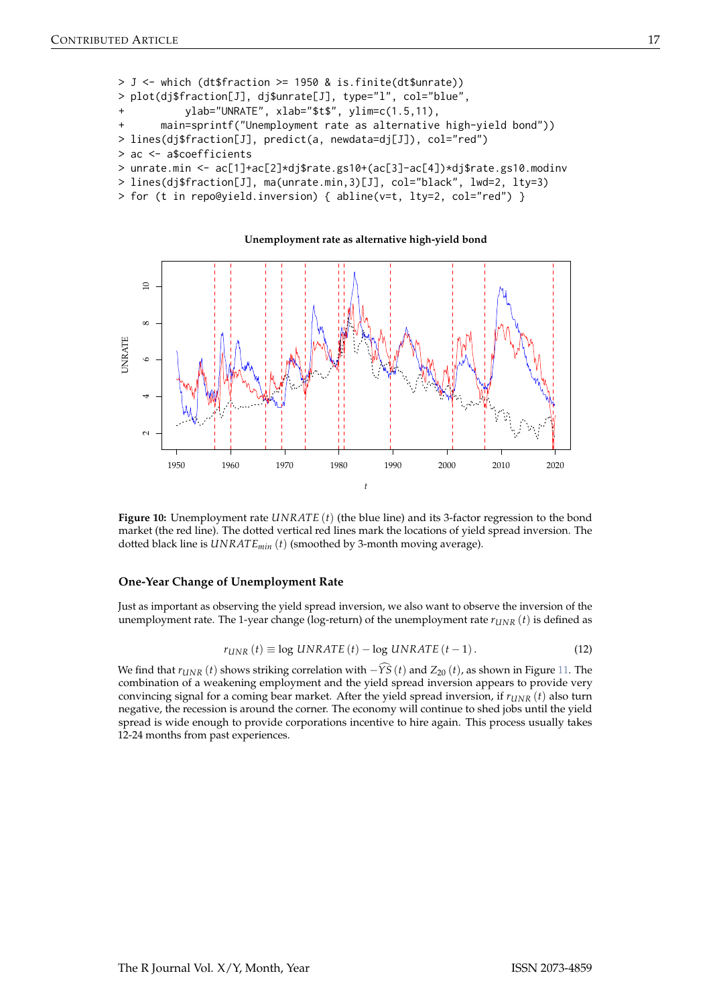```
> J <- which (dt$fraction >= 1950 & is.finite(dt$unrate))
> plot(dj$fraction[J], dj$unrate[J], type="l", col="blue",
           ylab="UNRATE", xlab="$t$", ylim=c(1.5,11),
       main=sprintf("Unemployment rate as alternative high-yield bond"))
> lines(dj$fraction[J], predict(a, newdata=dj[J]), col="red")
> ac <- a$coefficients
> unrate.min <- ac[1]+ac[2]*dj$rate.gs10+(ac[3]-ac[4])*dj$rate.gs10.modinv
```
> lines(dj\$fraction[J], ma(unrate.min,3)[J], col="black", lwd=2, lty=3)

> for (t in repo@yield.inversion) { abline(v=t, lty=2, col="red") }



**Figure 10:** Unemployment rate *UNRATE* (*t*) (the blue line) and its 3-factor regression to the bond market (the red line). The dotted vertical red lines mark the locations of yield spread inversion. The dotted black line is *UNRATEmin* (*t*) (smoothed by 3-month moving average).

#### **One-Year Change of Unemployment Rate**

Just as important as observing the yield spread inversion, we also want to observe the inversion of the unemployment rate. The 1-year change (log-return) of the unemployment rate  $r_{I/NR}$  (*t*) is defined as

$$
r_{\text{UNR}}\left(t\right) \equiv \log \text{UNRATE}\left(t\right) - \log \text{UNRATE}\left(t - 1\right). \tag{12}
$$

We find that  $r_{UNR}(t)$  shows striking correlation with  $-\widehat{YS}(t)$  and  $Z_{20}(t)$ , as shown in Figure [11.](#page-17-0) The combination of a weakening employment and the yield spread inversion appears to provide very convincing signal for a coming bear market. After the yield spread inversion, if *rUNR* (*t*) also turn negative, the recession is around the corner. The economy will continue to shed jobs until the yield spread is wide enough to provide corporations incentive to hire again. This process usually takes 12-24 months from past experiences.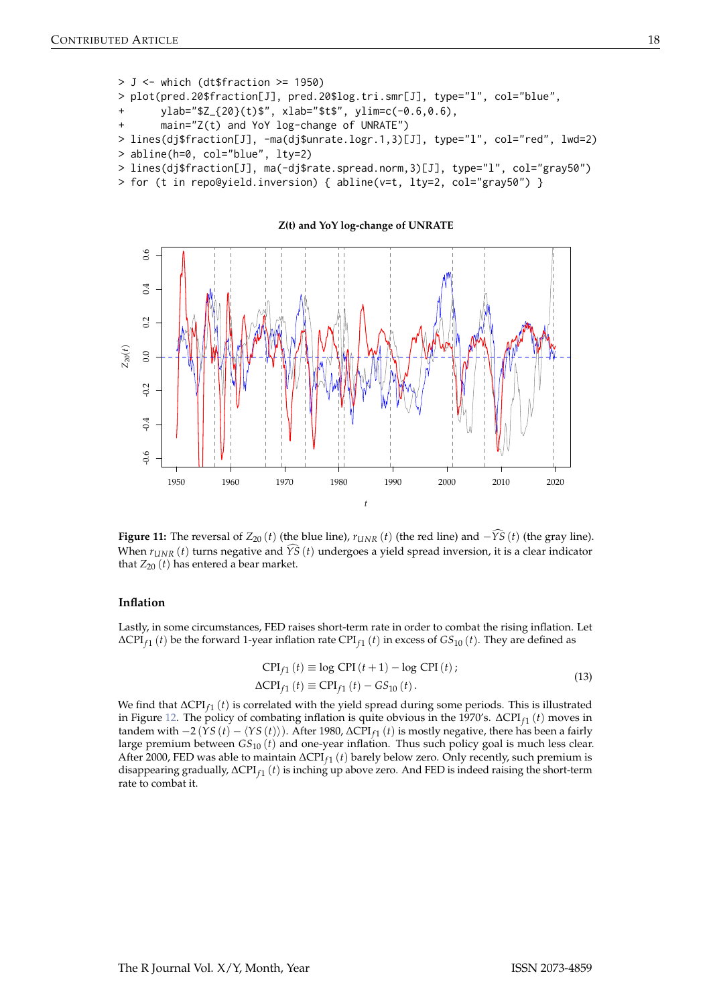```
> J <- which (dt$fraction >= 1950)
> plot(pred.20$fraction[J], pred.20$log.tri.smr[J], type="l", col="blue",
      ylab="$Z_{20}(t)$", xlab="$t$", ylim=c(-0.6,0.6),
      main="Z(t) and YoY log-change of UNRATE")
> lines(dj$fraction[J], -ma(dj$unrate.logr.1,3)[J], type="l", col="red", lwd=2)
> abline(h=0, col="blue", lty=2)
```
- > lines(dj\$fraction[J], ma(-dj\$rate.spread.norm,3)[J], type="l", col="gray50")
- > for (t in repo@yield.inversion) { abline(v=t, lty=2, col="gray50") }



**Figure 11:** The reversal of  $Z_{20}$  (*t*) (the blue line),  $r_{UNR}$  (*t*) (the red line) and  $-\widehat{YS}$  (*t*) (the gray line). When  $r_{\text{UNR}}(t)$  turns negative and  $\widehat{YS}(t)$  undergoes a yield spread inversion, it is a clear indicator that  $Z_{20}(t)$  has entered a bear market.

#### **Inflation**

Lastly, in some circumstances, FED raises short-term rate in order to combat the rising inflation. Let ∆CPI*<sup>f</sup>* <sup>1</sup> (*t*) be the forward 1-year inflation rate CPI*<sup>f</sup>* <sup>1</sup> (*t*) in excess of *GS*<sup>10</sup> (*t*). They are defined as

$$
CPI_{f1}(t) \equiv \log CPI(t+1) - \log CPI(t);
$$
  
\n
$$
\Delta CPI_{f1}(t) \equiv CPI_{f1}(t) - GS_{10}(t).
$$
\n(13)

We find that ∆CPI<sub>*f*1</sub> (*t*) is correlated with the yield spread during some periods. This is illustrated in Figure [12.](#page-18-0) The policy of combating inflation is quite obvious in the 1970's. ∆CPI<sub>f1</sub> (*t*) moves in tandem with  $-2(YS(t) - \langle YS(t) \rangle)$ . After 1980, ∆CPI<sub>f1</sub> (*t*) is mostly negative, there has been a fairly large premium between *GS*<sup>10</sup> (*t*) and one-year inflation. Thus such policy goal is much less clear. After 2000, FED was able to maintain ∆CPI*<sup>f</sup>* <sup>1</sup> (*t*) barely below zero. Only recently, such premium is disappearing gradually, ∆CPI*<sup>f</sup>* <sup>1</sup> (*t*) is inching up above zero. And FED is indeed raising the short-term rate to combat it.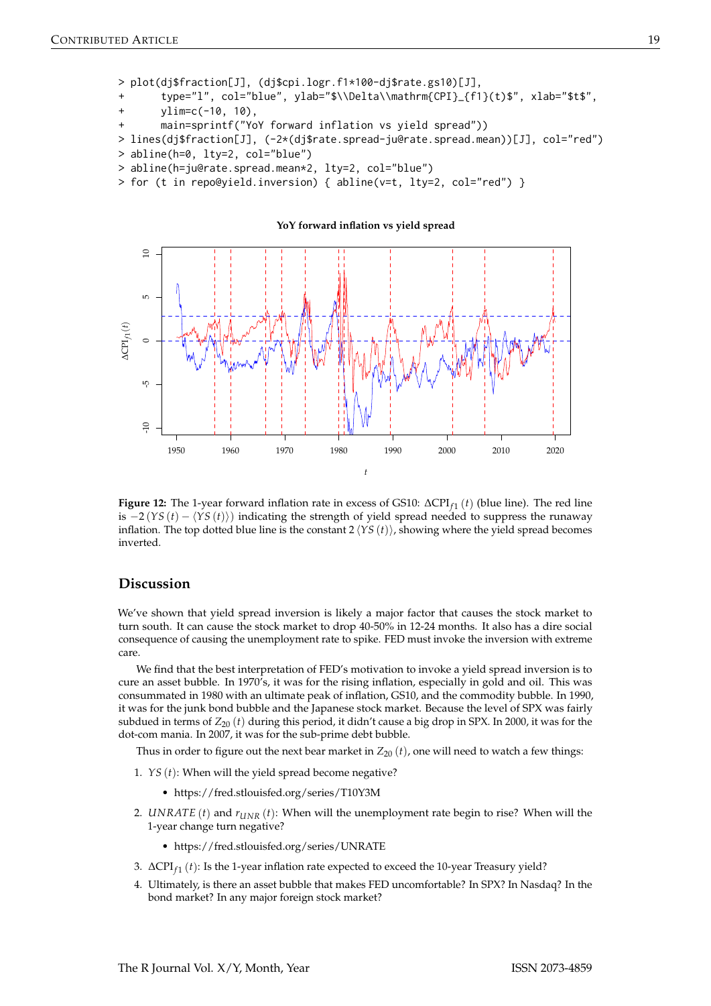```
> plot(dj$fraction[J], (dj$cpi.logr.f1*100-dj$rate.gs10)[J],
```
type="l", col="blue", ylab="\$\\Delta\\mathrm{CPI}\_{f1}(t)\$", xlab="\$t\$",

```
ylim=c(-10, 10),
```
main=sprintf("YoY forward inflation vs yield spread"))

> lines(dj\$fraction[J], (-2\*(dj\$rate.spread-ju@rate.spread.mean))[J], col="red") > abline(h=0, lty=2, col="blue")

- > abline(h=ju@rate.spread.mean\*2, lty=2, col="blue")
- > for (t in repo@yield.inversion) { abline(v=t, lty=2, col="red") }



**Figure 12:** The 1-year forward inflation rate in excess of GS10: ∆CPI*<sup>f</sup>* <sup>1</sup> (*t*) (blue line). The red line is  $-2(YS(t) - \langle YS(t) \rangle)$  indicating the strength of yield spread needed to suppress the runaway inflation. The top dotted blue line is the constant  $2\langle YS(t) \rangle$ , showing where the yield spread becomes inverted.

## **Discussion**

We've shown that yield spread inversion is likely a major factor that causes the stock market to turn south. It can cause the stock market to drop 40-50% in 12-24 months. It also has a dire social consequence of causing the unemployment rate to spike. FED must invoke the inversion with extreme care.

We find that the best interpretation of FED's motivation to invoke a yield spread inversion is to cure an asset bubble. In 1970's, it was for the rising inflation, especially in gold and oil. This was consummated in 1980 with an ultimate peak of inflation, GS10, and the commodity bubble. In 1990, it was for the junk bond bubble and the Japanese stock market. Because the level of SPX was fairly subdued in terms of *Z*<sup>20</sup> (*t*) during this period, it didn't cause a big drop in SPX. In 2000, it was for the dot-com mania. In 2007, it was for the sub-prime debt bubble.

Thus in order to figure out the next bear market in  $Z_{20} (t)$ , one will need to watch a few things:

- 1. *YS* (*t*): When will the yield spread become negative?
	- https://fred.stlouisfed.org/series/T10Y3M
- 2. *UNRATE* (*t*) and *rUNR* (*t*): When will the unemployment rate begin to rise? When will the 1-year change turn negative?
	- https://fred.stlouisfed.org/series/UNRATE
- 3. ∆CPI*<sup>f</sup>* <sup>1</sup> (*t*): Is the 1-year inflation rate expected to exceed the 10-year Treasury yield?
- 4. Ultimately, is there an asset bubble that makes FED uncomfortable? In SPX? In Nasdaq? In the bond market? In any major foreign stock market?